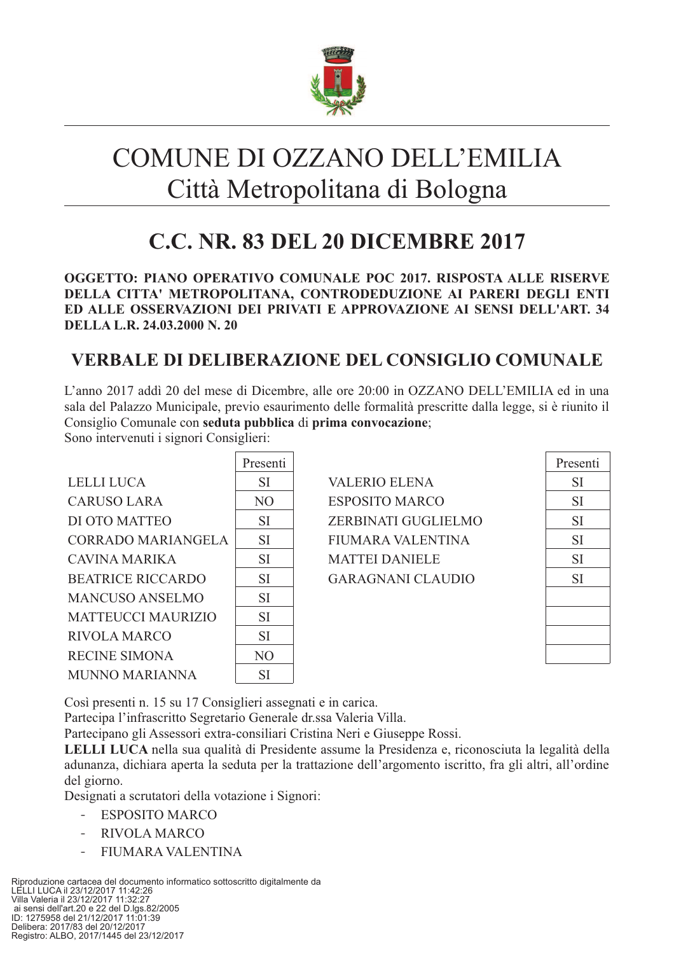

# COMUNE DI OZZANO DELL'EMILIA Città Metropolitana di Bologna

## **C.C. NR. 83 DEL 20 DICEMBRE 2017**

OGGETTO: PIANO OPERATIVO COMUNALE POC 2017. RISPOSTA ALLE RISERVE DELLA CITTA' METROPOLITANA, CONTRODEDUZIONE AI PARERI DEGLI ENTI ED ALLE OSSERVAZIONI DEI PRIVATI E APPROVAZIONE AI SENSI DELL'ART. 34 DELLA L.R. 24.03.2000 N. 20

## **VERBALE DI DELIBERAZIONE DEL CONSIGLIO COMUNALE**

L'anno 2017 addi 20 del mese di Dicembre, alle ore 20:00 in OZZANO DELL'EMILIA ed in una sala del Palazzo Municipale, previo esaurimento delle formalità prescritte dalla legge, si è riunito il Consiglio Comunale con seduta pubblica di prima convocazione;

Sono intervenuti i signori Consiglieri:

|                           | Presenti       |  |
|---------------------------|----------------|--|
| LELLI LUCA                | <b>SI</b>      |  |
| <b>CARUSO LARA</b>        | N <sub>O</sub> |  |
| DI OTO MATTEO             | <b>SI</b>      |  |
| <b>CORRADO MARIANGELA</b> | <b>SI</b>      |  |
| CAVINA MARIKA             | <b>SI</b>      |  |
| <b>BEATRICE RICCARDO</b>  | <b>SI</b>      |  |
| <b>MANCUSO ANSELMO</b>    | <b>SI</b>      |  |
| <b>MATTEUCCI MAURIZIO</b> | <b>SI</b>      |  |
| <b>RIVOLA MARCO</b>       | <b>SI</b>      |  |
| <b>RECINE SIMONA</b>      | N <sub>O</sub> |  |
| <b>MUNNO MARIANNA</b>     | <b>SI</b>      |  |

| VALERIO ELENA       |
|---------------------|
| ESPOSITO MARCO      |
| ZERBINATI GUGLIELMO |
| FIUMARA VALENTINA   |
| MATTEI DANIELE      |
| GARAGNANI CLAUDIO   |
|                     |

| Presenti  |
|-----------|
| SI        |
| <b>SI</b> |
| SI        |
| SI        |
| SI        |
| <b>SI</b> |
|           |
|           |
|           |
|           |

Così presenti n. 15 su 17 Consiglieri assegnati e in carica.

Partecipa l'infrascritto Segretario Generale dr.ssa Valeria Villa.

Partecipano gli Assessori extra-consiliari Cristina Neri e Giuseppe Rossi.

LELLI LUCA nella sua qualità di Presidente assume la Presidenza e, riconosciuta la legalità della adunanza, dichiara aperta la seduta per la trattazione dell'argomento iscritto, fra gli altri, all'ordine del giorno.

Designati a scrutatori della votazione i Signori:

- ESPOSITO MARCO
- **RIVOLA MARCO**
- FIUMARA VALENTINA

Riproduzione cartacea del documento informatico sottoscritto digitalmente da<br>LELLI LUCA il 23/12/2017 11:42:26<br>Villa Valeria il 23/12/2017 11:32:27 ai sensi dell'art.20 e 22 del D.lgs.82/2005<br>ID: 1275958 del 21/12/2017 11:01:39 Delibera: 2017/83 del 20/12/2017 Registro: ALBO, 2017/1445 del 23/12/2017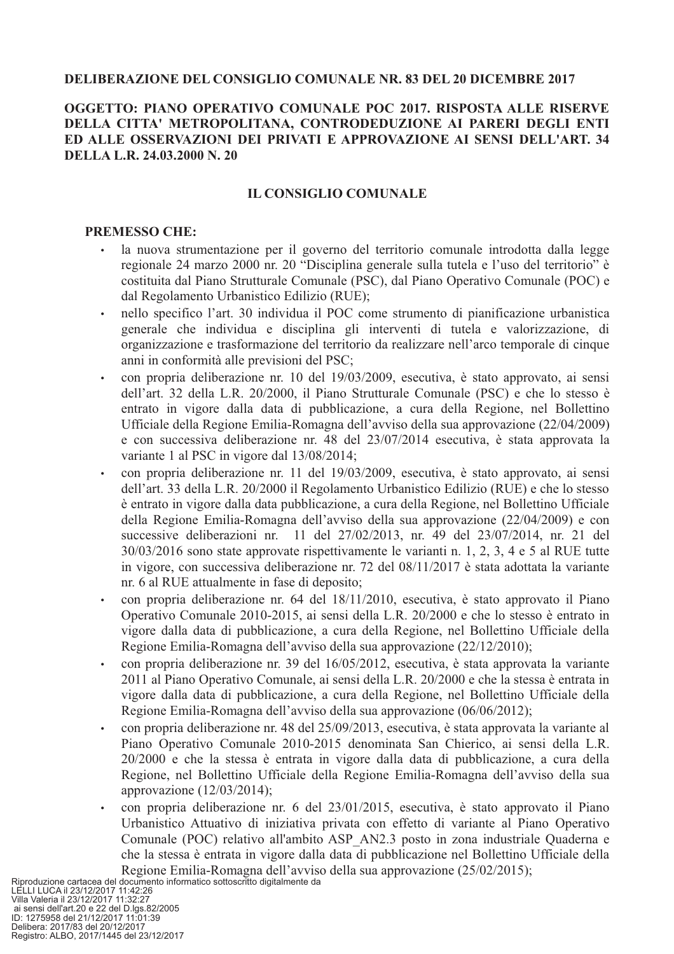## **DELIBERAZIONE DEL CONSIGLIO COMUNALE NR. 83 DEL 20 DICEMBRE 2017**

## OGGETTO: PIANO OPERATIVO COMUNALE POC 2017. RISPOSTA ALLE RISERVE DELLA CITTA' METROPOLITANA, CONTRODEDUZIONE AI PARERI DEGLI ENTI ED ALLE OSSERVAZIONI DEI PRIVATI E APPROVAZIONE AI SENSI DELL'ART. 34 DELLA L.R. 24.03.2000 N. 20

## **IL CONSIGLIO COMUNALE**

#### **PREMESSO CHE:**

- la nuova strumentazione per il governo del territorio comunale introdotta dalla legge  $\bullet$ regionale 24 marzo 2000 nr. 20 "Disciplina generale sulla tutela e l'uso del territorio" è costituita dal Piano Strutturale Comunale (PSC), dal Piano Operativo Comunale (POC) e dal Regolamento Urbanistico Edilizio (RUE);
- nello specifico l'art. 30 individua il POC come strumento di pianificazione urbanistica  $\bullet$ generale che individua e disciplina gli interventi di tutela e valorizzazione, di organizzazione e trasformazione del territorio da realizzare nell'arco temporale di cinque anni in conformità alle previsioni del PSC:
- con propria deliberazione nr. 10 del 19/03/2009, esecutiva, è stato approvato, ai sensi dell'art. 32 della L.R. 20/2000, il Piano Strutturale Comunale (PSC) e che lo stesso è entrato in vigore dalla data di pubblicazione, a cura della Regione, nel Bollettino Ufficiale della Regione Emilia-Romagna dell'avviso della sua approvazione (22/04/2009) e con successiva deliberazione nr. 48 del 23/07/2014 esecutiva, è stata approvata la variante 1 al PSC in vigore dal 13/08/2014;
- con propria deliberazione nr. 11 del 19/03/2009, esecutiva, è stato approvato, ai sensi dell'art. 33 della L.R. 20/2000 il Regolamento Urbanistico Edilizio (RUE) e che lo stesso è entrato in vigore dalla data pubblicazione, a cura della Regione, nel Bollettino Ufficiale della Regione Emilia-Romagna dell'avviso della sua approvazione (22/04/2009) e con successive deliberazioni nr. 11 del 27/02/2013, nr. 49 del 23/07/2014, nr. 21 del 30/03/2016 sono state approvate rispettivamente le varianti n. 1, 2, 3, 4 e 5 al RUE tutte in vigore, con successiva deliberazione nr. 72 del 08/11/2017 è stata adottata la variante nr. 6 al RUE attualmente in fase di deposito;
- con propria deliberazione nr. 64 del 18/11/2010, esecutiva, è stato approvato il Piano Operativo Comunale 2010-2015, ai sensi della L.R. 20/2000 e che lo stesso è entrato in vigore dalla data di pubblicazione, a cura della Regione, nel Bollettino Ufficiale della Regione Emilia-Romagna dell'avviso della sua approvazione (22/12/2010);
- con propria deliberazione nr. 39 del 16/05/2012, esecutiva, è stata approvata la variante  $\bullet$ 2011 al Piano Operativo Comunale, ai sensi della L.R. 20/2000 e che la stessa è entrata in vigore dalla data di pubblicazione, a cura della Regione, nel Bollettino Ufficiale della Regione Emilia-Romagna dell'avviso della sua approvazione (06/06/2012);
- con propria deliberazione nr. 48 del 25/09/2013, esecutiva, è stata approvata la variante al Piano Operativo Comunale 2010-2015 denominata San Chierico, ai sensi della L.R. 20/2000 e che la stessa è entrata in vigore dalla data di pubblicazione, a cura della Regione, nel Bollettino Ufficiale della Regione Emilia-Romagna dell'avviso della sua approvazione  $(12/03/2014)$ ;
- con propria deliberazione nr. 6 del 23/01/2015, esecutiva, è stato approvato il Piano Urbanistico Attuativo di iniziativa privata con effetto di variante al Piano Operativo Comunale (POC) relativo all'ambito ASP AN2.3 posto in zona industriale Quaderna e che la stessa è entrata in vigore dalla data di pubblicazione nel Bollettino Ufficiale della Regione Emilia-Romagna dell'avviso della sua approvazione (25/02/2015);

Riproduzione cartacea del documento informatico sottoscritto digitalmente da<br>LELLI LUCA il 23/12/2017 11:42:26<br>Villa Valeria il 23/12/2017 11:32:27 ai sensi dell'art.20 e 22 del D.lgs.82/2005<br>ID: 1275958 del 21/12/2017 11:01:39 Delibera: 2017/83 del 20/12/2017 Registro: ALBO, 2017/1445 del 23/12/2017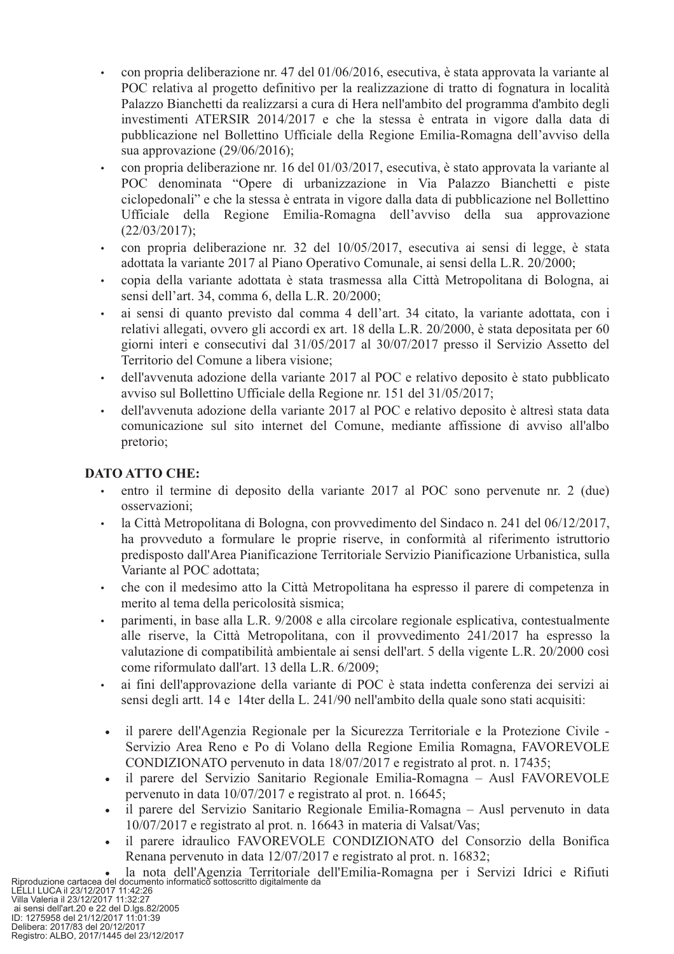- con propria deliberazione nr. 47 del 01/06/2016, esecutiva, è stata approvata la variante al POC relativa al progetto definitivo per la realizzazione di tratto di fognatura in località Palazzo Bianchetti da realizzarsi a cura di Hera nell'ambito del programma d'ambito degli investimenti ATERSIR 2014/2017 e che la stessa è entrata in vigore dalla data di pubblicazione nel Bollettino Ufficiale della Regione Emilia-Romagna dell'avviso della sua approvazione  $(29/06/2016)$ ;
- con propria deliberazione nr. 16 del 01/03/2017, esecutiva, è stato approvata la variante al POC denominata "Opere di urbanizzazione in Via Palazzo Bianchetti e piste ciclopedonali" e che la stessa è entrata in vigore dalla data di pubblicazione nel Bollettino Ufficiale della Regione Emilia-Romagna dell'avviso della sua approvazione  $(22/03/2017)$ :
- con propria deliberazione nr. 32 del 10/05/2017, esecutiva ai sensi di legge, è stata adottata la variante 2017 al Piano Operativo Comunale, ai sensi della L.R. 20/2000;
- copia della variante adottata è stata trasmessa alla Città Metropolitana di Bologna, ai  $\bullet$ sensi dell'art. 34, comma 6, della L.R. 20/2000;
- ai sensi di quanto previsto dal comma 4 dell'art. 34 citato, la variante adottata, con i  $\bullet$ relativi allegati, ovvero gli accordi ex art. 18 della L.R. 20/2000, è stata depositata per 60 giorni interi e consecutivi dal 31/05/2017 al 30/07/2017 presso il Servizio Assetto del Territorio del Comune a libera visione:
- dell'avvenuta adozione della variante 2017 al POC e relativo deposito è stato pubblicato  $\bullet$ avviso sul Bollettino Ufficiale della Regione nr. 151 del 31/05/2017;
- dell'avvenuta adozione della variante 2017 al POC e relativo deposito è altresì stata data  $\bullet$ comunicazione sul sito internet del Comune, mediante affissione di avviso all'albo pretorio;

## **DATO ATTO CHE:**

- entro il termine di deposito della variante 2017 al POC sono pervenute nr. 2 (due)  $\ddot{\phantom{0}}$ osservazioni:
- la Città Metropolitana di Bologna, con provvedimento del Sindaco n. 241 del 06/12/2017,  $\bullet$ ha provveduto a formulare le proprie riserve, in conformità al riferimento istruttorio predisposto dall'Area Pianificazione Territoriale Servizio Pianificazione Urbanistica, sulla Variante al POC adottata;
- che con il medesimo atto la Città Metropolitana ha espresso il parere di competenza in  $\bullet$  . merito al tema della pericolosità sismica;
- parimenti, in base alla L.R. 9/2008 e alla circolare regionale esplicativa, contestualmente  $\ddot{\phantom{a}}$ alle riserve, la Città Metropolitana, con il provvedimento 241/2017 ha espresso la valutazione di compatibilità ambientale ai sensi dell'art. 5 della vigente L.R. 20/2000 così come riformulato dall'art. 13 della L.R. 6/2009;
- ai fini dell'approvazione della variante di POC è stata indetta conferenza dei servizi ai sensi degli artt. 14 e 14ter della L. 241/90 nell'ambito della quale sono stati acquisiti:
- il parere dell'Agenzia Regionale per la Sicurezza Territoriale e la Protezione Civile - $\bullet$ Servizio Area Reno e Po di Volano della Regione Emilia Romagna, FAVOREVOLE CONDIZIONATO pervenuto in data 18/07/2017 e registrato al prot. n. 17435;
- il parere del Servizio Sanitario Regionale Emilia-Romagna Ausl FAVOREVOLE  $\bullet$ pervenuto in data 10/07/2017 e registrato al prot. n. 16645;
- il parere del Servizio Sanitario Regionale Emilia-Romagna Ausl pervenuto in data 10/07/2017 e registrato al prot. n. 16643 in materia di Valsat/Vas;
- il parere idraulico FAVOREVOLE CONDIZIONATO del Consorzio della Bonifica  $\bullet$

Riproduzione cartacea del documento informatico sottoscritto digitalmente da<br>LELLI LUCA il 23/12/2017 11:42:26<br>Jai valeria il 23/12/2017 11:42:26<br>Jai sensi dell'anti 23/12/2017 11:32:27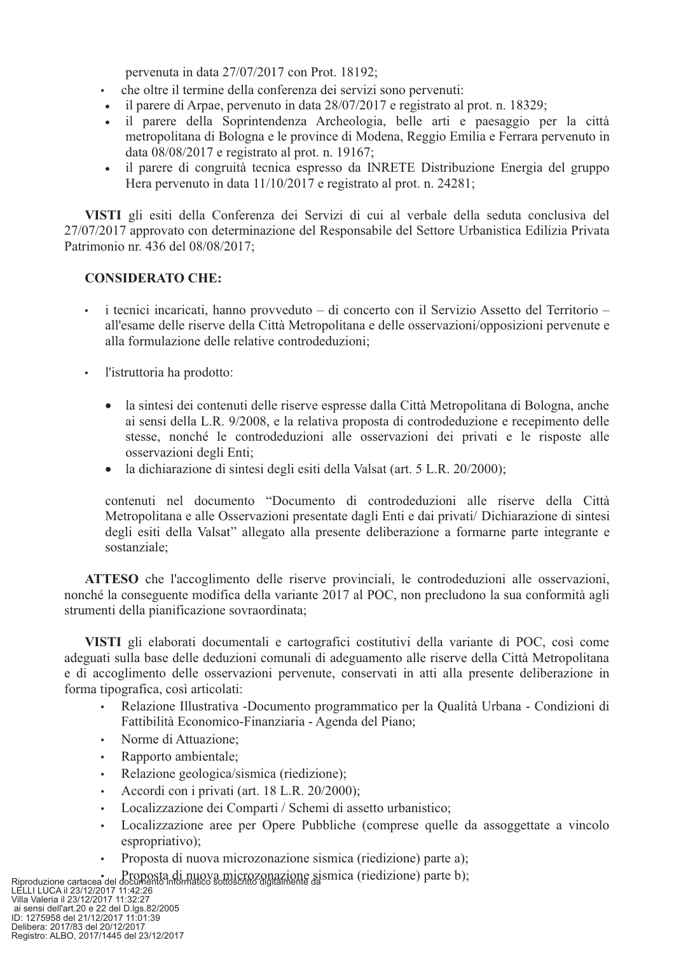pervenuta in data 27/07/2017 con Prot. 18192;

- che oltre il termine della conferenza dei servizi sono pervenuti:
- il parere di Arpae, pervenuto in data 28/07/2017 e registrato al prot. n. 18329;  $\bullet$
- il parere della Soprintendenza Archeologia, belle arti e paesaggio per la città  $\bullet$ metropolitana di Bologna e le province di Modena, Reggio Emilia e Ferrara pervenuto in data 08/08/2017 e registrato al prot. n. 19167;
- il parere di congruità tecnica espresso da INRETE Distribuzione Energia del gruppo  $\bullet$ Hera pervenuto in data  $11/10/2017$  e registrato al prot. n. 24281;

VISTI gli esiti della Conferenza dei Servizi di cui al verbale della seduta conclusiva del 27/07/2017 approvato con determinazione del Responsabile del Settore Urbanistica Edilizia Privata Patrimonio nr. 436 del 08/08/2017:

## **CONSIDERATO CHE:**

- $\bullet$  . i tecnici incaricati, hanno provveduto – di concerto con il Servizio Assetto del Territorio – all'esame delle riserve della Città Metropolitana e delle osservazioni/opposizioni pervenute e alla formulazione delle relative controdeduzioni;
- · l'istruttoria ha prodotto:
	- la sintesi dei contenuti delle riserve espresse dalla Città Metropolitana di Bologna, anche  $\bullet$ ai sensi della L.R. 9/2008, e la relativa proposta di controdeduzione e recepimento delle stesse, nonché le controdeduzioni alle osservazioni dei privati e le risposte alle osservazioni degli Enti;
	- la dichiarazione di sintesi degli esiti della Valsat (art. 5 L.R. 20/2000);

contenuti nel documento "Documento di controdeduzioni alle riserve della Città Metropolitana e alle Osservazioni presentate dagli Enti e dai privati/ Dichiarazione di sintesi degli esiti della Valsat" allegato alla presente deliberazione a formarne parte integrante e sostanziale:

ATTESO che l'accoglimento delle riserve provinciali, le controdeduzioni alle osservazioni, nonché la conseguente modifica della variante 2017 al POC, non precludono la sua conformità agli strumenti della pianificazione sovraordinata;

VISTI gli elaborati documentali e cartografici costitutivi della variante di POC, così come adeguati sulla base delle deduzioni comunali di adeguamento alle riserve della Città Metropolitana e di accoglimento delle osservazioni pervenute, conservati in atti alla presente deliberazione in forma tipografica, così articolati:

- Relazione Illustrativa -Documento programmatico per la Qualità Urbana Condizioni di  $\bullet$ Fattibilità Economico-Finanziaria - Agenda del Piano;
- Norme di Attuazione;
- Rapporto ambientale;  $\bullet$  .
- Relazione geologica/sismica (riedizione);
- Accordi con i privati (art. 18 L.R. 20/2000);  $\bullet$
- Localizzazione dei Comparti / Schemi di assetto urbanistico;  $\bullet$
- Localizzazione aree per Opere Pubbliche (comprese quelle da assoggettate a vincolo  $\bullet$ espropriativo);
- Proposta di nuova microzonazione sismica (riedizione) parte a);

Riproduzione cartacea del documento informatico sottoscritto digitalmente da sismica (riedizione) parte b);<br>LELLI LUCA il 23/12/2017 11:42:26<br>Villa Valeria il 23/12/2017 11:42:26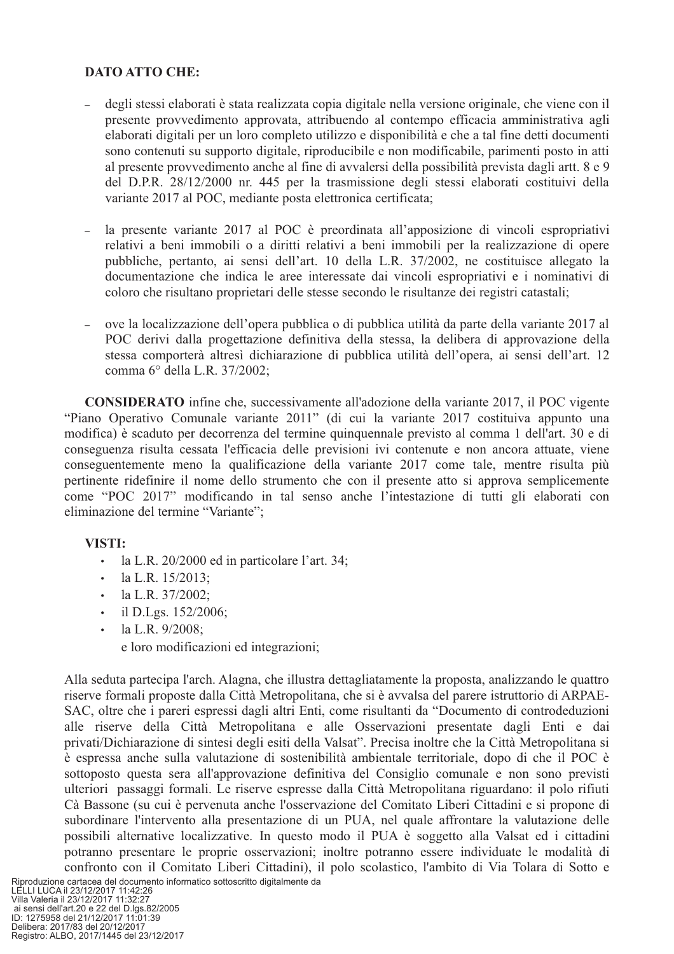## **DATO ATTO CHE:**

- degli stessi elaborati è stata realizzata copia digitale nella versione originale, che viene con il  $\overline{a}$ presente provvedimento approvata, attribuendo al contempo efficacia amministrativa agli elaborati digitali per un loro completo utilizzo e disponibilità e che a tal fine detti documenti sono contenuti su supporto digitale, riproducibile e non modificabile, parimenti posto in atti al presente provvedimento anche al fine di avvalersi della possibilità prevista dagli artt. 8 e 9 del D.P.R. 28/12/2000 nr. 445 per la trasmissione degli stessi elaborati costituivi della variante 2017 al POC, mediante posta elettronica certificata;
- la presente variante 2017 al POC è preordinata all'apposizione di vincoli espropriativi relativi a beni immobili o a diritti relativi a beni immobili per la realizzazione di opere pubbliche, pertanto, ai sensi dell'art. 10 della L.R. 37/2002, ne costituisce allegato la documentazione che indica le aree interessate dai vincoli espropriativi e i nominativi di coloro che risultano proprietari delle stesse secondo le risultanze dei registri catastali;
- ove la localizzazione dell'opera pubblica o di pubblica utilità da parte della variante 2017 al POC derivi dalla progettazione definitiva della stessa, la delibera di approvazione della stessa comporterà altresì dichiarazione di pubblica utilità dell'opera, ai sensi dell'art. 12 comma 6° della L.R. 37/2002;

**CONSIDERATO** infine che, successivamente all'adozione della variante 2017, il POC vigente "Piano Operativo Comunale variante 2011" (di cui la variante 2017 costituiva appunto una modifica) è scaduto per decorrenza del termine quinquennale previsto al comma 1 dell'art. 30 e di conseguenza risulta cessata l'efficacia delle previsioni ivi contenute e non ancora attuate, viene conseguentemente meno la qualificazione della variante 2017 come tale, mentre risulta più pertinente ridefinire il nome dello strumento che con il presente atto si approva semplicemente come "POC 2017" modificando in tal senso anche l'intestazione di tutti gli elaborati con eliminazione del termine "Variante";

## VISTI:

- $\mathbf{r}$ la L.R. 20/2000 ed in particolare l'art. 34;
- la L.R. 15/2013:  $\bullet$
- la L.R. 37/2002;  $\mathbf{r}$
- $\cdot$  il D.Lgs. 152/2006;
- $\bullet$ la L.R. 9/2008;
	- e loro modificazioni ed integrazioni;

Alla seduta partecipa l'arch. Alagna, che illustra dettagliatamente la proposta, analizzando le quattro riserve formali proposte dalla Città Metropolitana, che si è avvalsa del parere istruttorio di ARPAE-SAC, oltre che i pareri espressi dagli altri Enti, come risultanti da "Documento di controdeduzioni alle riserve della Città Metropolitana e alle Osservazioni presentate dagli Enti e dai privati/Dichiarazione di sintesi degli esiti della Valsat". Precisa inoltre che la Città Metropolitana si è espressa anche sulla valutazione di sostenibilità ambientale territoriale, dopo di che il POC è sottoposto questa sera all'approvazione definitiva del Consiglio comunale e non sono previsti ulteriori passaggi formali. Le riserve espresse dalla Città Metropolitana riguardano: il polo rifiuti Cà Bassone (su cui è pervenuta anche l'osservazione del Comitato Liberi Cittadini e si propone di subordinare l'intervento alla presentazione di un PUA, nel quale affrontare la valutazione delle possibili alternative localizzative. In questo modo il PUA è soggetto alla Valsat ed i cittadini potranno presentare le proprie osservazioni; inoltre potranno essere individuate le modalità di confronto con il Comitato Liberi Cittadini), il polo scolastico, l'ambito di Via Tolara di Sotto e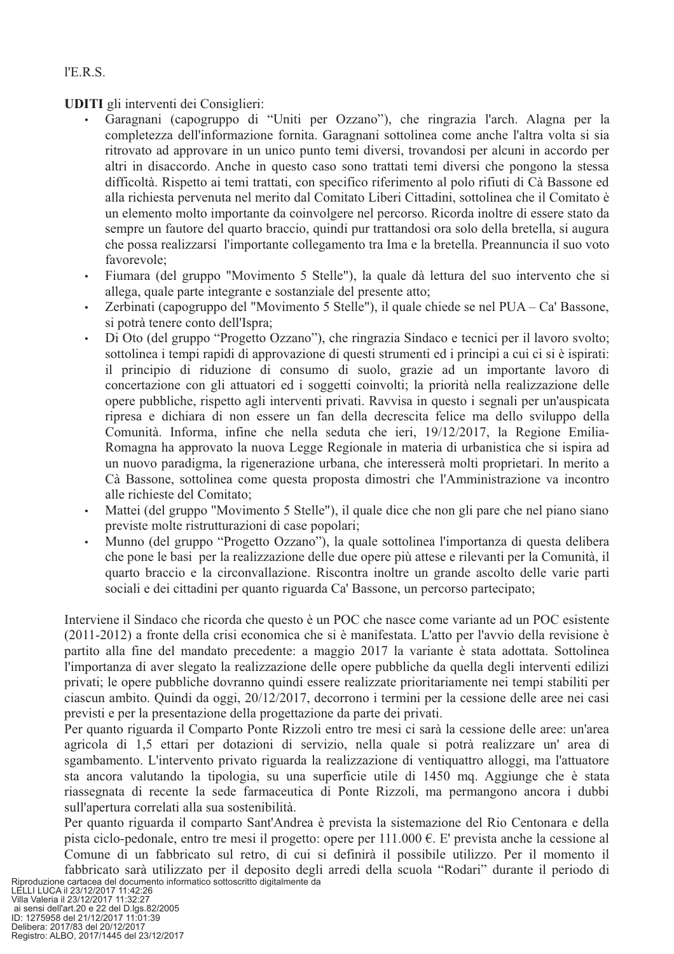**UDITI** gli interventi dei Consiglieri:

- Garagnani (capogruppo di "Uniti per Ozzano"), che ringrazia l'arch. Alagna per la completezza dell'informazione fornita. Garagnani sottolinea come anche l'altra volta si sia ritrovato ad approvare in un unico punto temi diversi, trovandosi per alcuni in accordo per altri in disaccordo. Anche in questo caso sono trattati temi diversi che pongono la stessa difficoltà. Rispetto ai temi trattati, con specifico riferimento al polo rifiuti di Cà Bassone ed alla richiesta pervenuta nel merito dal Comitato Liberi Cittadini, sottolinea che il Comitato è un elemento molto importante da coinvolgere nel percorso. Ricorda inoltre di essere stato da sempre un fautore del quarto braccio, quindi pur trattandosi ora solo della bretella, si augura che possa realizzarsi l'importante collegamento tra Ima e la bretella. Preannuncia il suo voto favorevole:
- Fiumara (del gruppo "Movimento 5 Stelle"), la quale dà lettura del suo intervento che si  $\bullet$ allega, quale parte integrante e sostanziale del presente atto;
- Zerbinati (capogruppo del "Movimento 5 Stelle"), il quale chiede se nel PUA Ca' Bassone,  $\bullet$ si potrà tenere conto dell'Ispra;
- Di Oto (del gruppo "Progetto Ozzano"), che ringrazia Sindaco e tecnici per il lavoro svolto;  $\ddot{\phantom{a}}$ sottolinea i tempi rapidi di approvazione di questi strumenti ed i principi a cui ci si è ispirati: il principio di riduzione di consumo di suolo, grazie ad un importante lavoro di concertazione con gli attuatori ed i soggetti coinvolti; la priorità nella realizzazione delle opere pubbliche, rispetto agli interventi privati. Ravvisa in questo i segnali per un'auspicata ripresa e dichiara di non essere un fan della decrescita felice ma dello sviluppo della Comunità. Informa, infine che nella seduta che ieri, 19/12/2017, la Regione Emilia-Romagna ha approvato la nuova Legge Regionale in materia di urbanistica che si ispira ad un nuovo paradigma, la rigenerazione urbana, che interesserà molti proprietari. In merito a Cà Bassone, sottolinea come questa proposta dimostri che l'Amministrazione va incontro alle richieste del Comitato:
- Mattei (del gruppo "Movimento 5 Stelle"), il quale dice che non gli pare che nel piano siano  $\bullet$ previste molte ristrutturazioni di case popolari;
- Munno (del gruppo "Progetto Ozzano"), la quale sottolinea l'importanza di questa delibera  $\bullet$ che pone le basi per la realizzazione delle due opere più attese e rilevanti per la Comunità, il quarto braccio e la circonvallazione. Riscontra inoltre un grande ascolto delle varie parti sociali e dei cittadini per quanto riguarda Ca' Bassone, un percorso partecipato;

Interviene il Sindaco che ricorda che questo è un POC che nasce come variante ad un POC esistente (2011-2012) a fronte della crisi economica che si è manifestata. L'atto per l'avvio della revisione è partito alla fine del mandato precedente: a maggio 2017 la variante è stata adottata. Sottolinea l'importanza di aver slegato la realizzazione delle opere pubbliche da quella degli interventi edilizi privati; le opere pubbliche dovranno quindi essere realizzate prioritariamente nei tempi stabiliti per ciascun ambito. Quindi da oggi, 20/12/2017, decorrono i termini per la cessione delle aree nei casi previsti e per la presentazione della progettazione da parte dei privati.

Per quanto riguarda il Comparto Ponte Rizzoli entro tre mesi ci sarà la cessione delle aree: un'area agricola di 1,5 ettari per dotazioni di servizio, nella quale si potrà realizzare un' area di sgambamento. L'intervento privato riguarda la realizzazione di ventiguattro alloggi, ma l'attuatore sta ancora valutando la tipologia, su una superficie utile di 1450 mq. Aggiunge che è stata riassegnata di recente la sede farmaceutica di Ponte Rizzoli, ma permangono ancora i dubbi sull'apertura correlati alla sua sostenibilità.

Per quanto riguarda il comparto Sant'Andrea è prevista la sistemazione del Rio Centonara e della pista ciclo-pedonale, entro tre mesi il progetto: opere per 111.000  $\epsilon$ . E' prevista anche la cessione al Comune di un fabbricato sul retro, di cui si definirà il possibile utilizzo. Per il momento il fabbricato sarà utilizzato per il deposito degli arredi della scuola "Rodari" durante il periodo di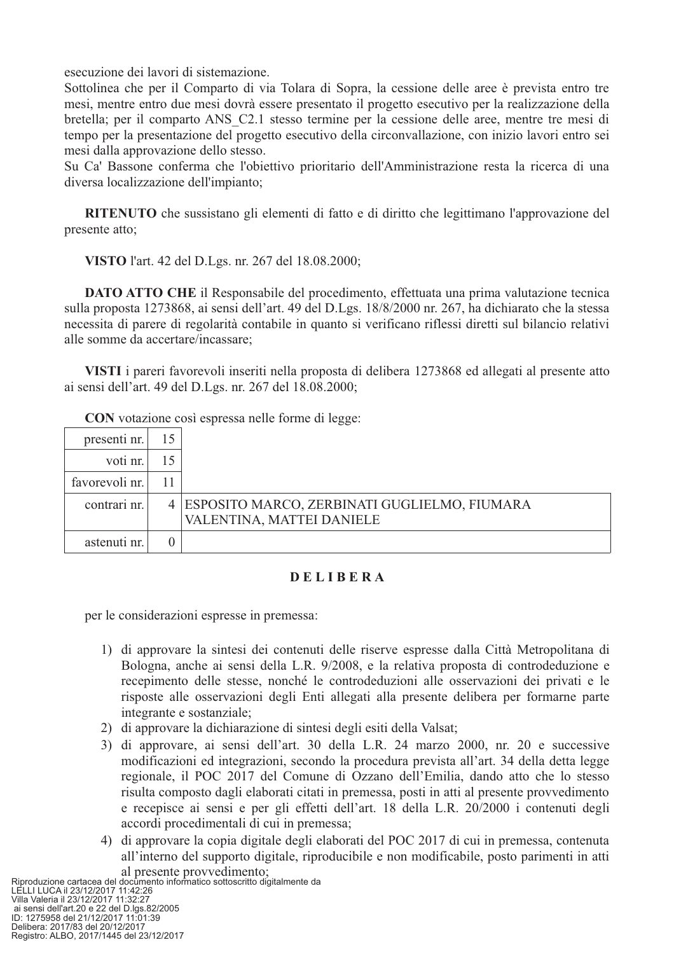esecuzione dei lavori di sistemazione.

Sottolinea che per il Comparto di via Tolara di Sopra, la cessione delle aree è prevista entro tre mesi, mentre entro due mesi dovrà essere presentato il progetto esecutivo per la realizzazione della bretella; per il comparto ANS C2.1 stesso termine per la cessione delle aree, mentre tre mesi di tempo per la presentazione del progetto esecutivo della circonvallazione, con inizio lavori entro sei mesi dalla approvazione dello stesso.

Su Ca' Bassone conferma che l'obiettivo prioritario dell'Amministrazione resta la ricerca di una diversa localizzazione dell'impianto;

RITENUTO che sussistano gli elementi di fatto e di diritto che legittimano l'approvazione del presente atto;

VISTO l'art. 42 del D.Lgs. nr. 267 del 18.08.2000;

**DATO ATTO CHE** il Responsabile del procedimento, effettuata una prima valutazione tecnica sulla proposta 1273868, ai sensi dell'art. 49 del D.Lgs. 18/8/2000 nr. 267, ha dichiarato che la stessa necessita di parere di regolarità contabile in quanto si verificano riflessi diretti sul bilancio relativi alle somme da accertare/incassare;

VISTI i pareri favorevoli inseriti nella proposta di delibera 1273868 ed allegati al presente atto ai sensi dell'art. 49 del D.Lgs. nr. 267 del 18.08.2000;

**CON** votazione così espressa nelle forme di legge:

| presenti nr.   | 15 |                                                  |
|----------------|----|--------------------------------------------------|
| voti nr.       | 15 |                                                  |
| favorevoli nr. | 11 |                                                  |
| contrari nr.   |    | 4   ESPOSITO MARCO, ZERBINATI GUGLIELMO, FIUMARA |
|                |    | VALENTINA, MATTEI DANIELE                        |
| astenuti nr.   |    |                                                  |

## **DELIBERA**

per le considerazioni espresse in premessa:

- 1) di approvare la sintesi dei contenuti delle riserve espresse dalla Città Metropolitana di Bologna, anche ai sensi della L.R. 9/2008, e la relativa proposta di controdeduzione e recepimento delle stesse, nonché le controdeduzioni alle osservazioni dei privati e le risposte alle osservazioni degli Enti allegati alla presente delibera per formarne parte integrante e sostanziale;
- 2) di approvare la dichiarazione di sintesi degli esiti della Valsat;
- 3) di approvare, ai sensi dell'art. 30 della L.R. 24 marzo 2000, nr. 20 e successive modificazioni ed integrazioni, secondo la procedura prevista all'art. 34 della detta legge regionale, il POC 2017 del Comune di Ozzano dell'Emilia, dando atto che lo stesso risulta composto dagli elaborati citati in premessa, posti in atti al presente provvedimento e recepisce ai sensi e per gli effetti dell'art. 18 della L.R. 20/2000 i contenuti degli accordi procedimentali di cui in premessa;
- 4) di approvare la copia digitale degli elaborati del POC 2017 di cui in premessa, contenuta all'interno del supporto digitale, riproducibile e non modificabile, posto parimenti in atti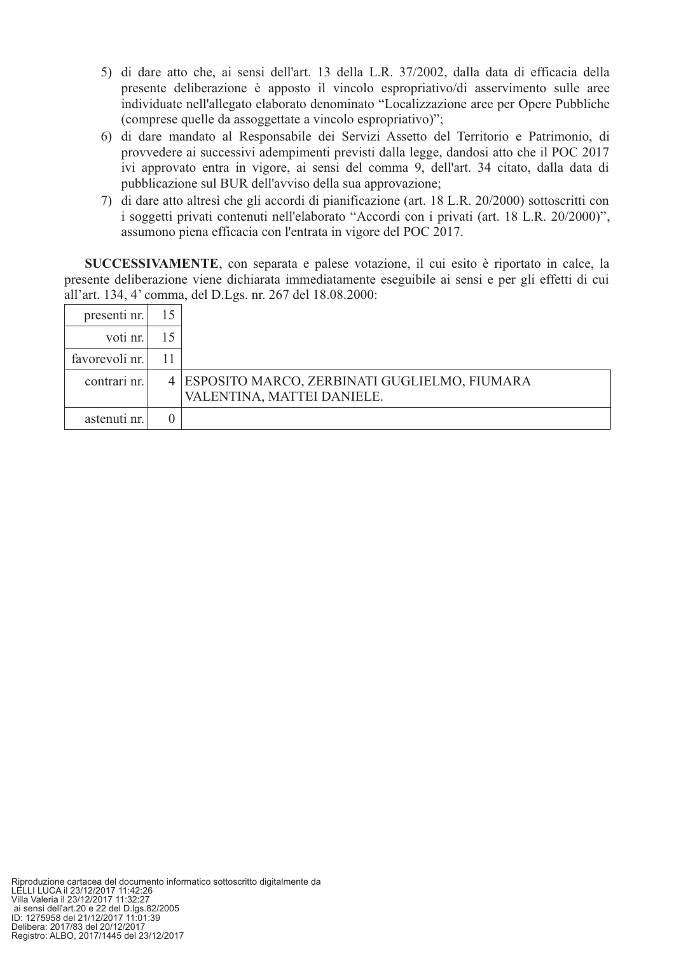- 5) di dare atto che, ai sensi dell'art. 13 della L.R. 37/2002, dalla data di efficacia della presente deliberazione è apposto il vincolo espropriativo/di asservimento sulle aree individuate nell'allegato elaborato denominato "Localizzazione aree per Opere Pubbliche (comprese quelle da assoggettate a vincolo espropriativo)";
- 6) di dare mandato al Responsabile dei Servizi Assetto del Territorio e Patrimonio, di provvedere ai successivi adempimenti previsti dalla legge, dandosi atto che il POC 2017 ivi approvato entra in vigore, ai sensi del comma 9, dell'art. 34 citato, dalla data di pubblicazione sul BUR dell'avviso della sua approvazione;
- 7) di dare atto altresì che gli accordi di pianificazione (art. 18 L.R. 20/2000) sottoscritti con i soggetti privati contenuti nell'elaborato "Accordi con i privati (art. 18 L.R. 20/2000)", assumono piena efficacia con l'entrata in vigore del POC 2017.

SUCCESSIVAMENTE, con separata e palese votazione, il cui esito è riportato in calce, la presente deliberazione viene dichiarata immediatamente eseguibile ai sensi e per gli effetti di cui all'art. 134, 4' comma, del D.Lgs. nr. 267 del 18.08.2000:

| presenti nr.   | 15 |                                                                              |
|----------------|----|------------------------------------------------------------------------------|
| voti nr.       | 15 |                                                                              |
| favorevoli nr. |    |                                                                              |
| contrari nr.   |    | 4 ESPOSITO MARCO, ZERBINATI GUGLIELMO, FIUMARA<br>VALENTINA, MATTEI DANIELE. |
| astenuti nr.   |    |                                                                              |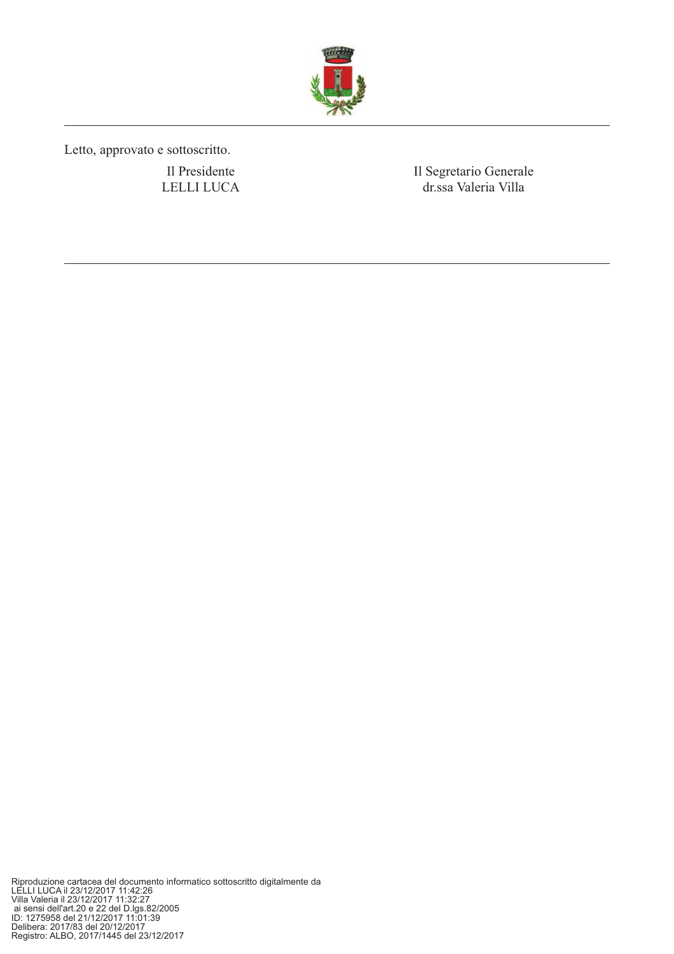

Letto, approvato e sottoscritto.

Il Presidente LELLI LUCA Il Segretario Generale dr.ssa Valeria Villa

Riproduzione cartacea del documento informatico sottoscritto digitalmente da<br>LELLI LUCA il 23/12/2017 11:42:26<br>Villa Valeria il 23/12/2017 11:32:27<br>ai sensi dell'art.20 e 22 del D.lgs.82/2005<br>ID: 1275958 del 21/12/2017 11: